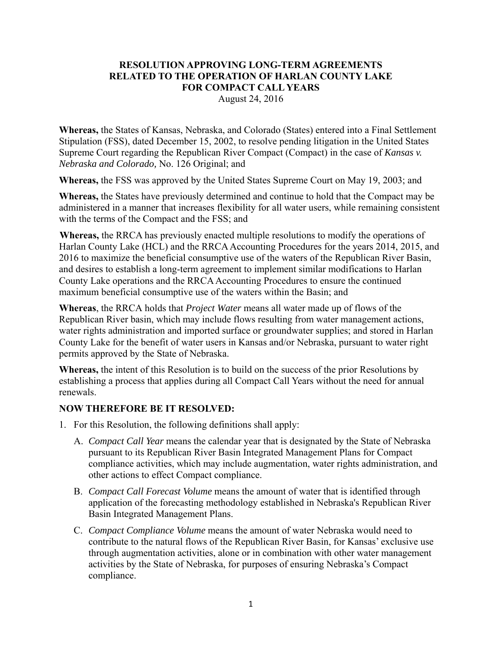## **RESOLUTION APPROVING LONG-TERM AGREEMENTS RELATED TO THE OPERATION OF HARLAN COUNTY LAKE FOR COMPACT CALL YEARS**

August 24, 2016

**Whereas,** the States of Kansas, Nebraska, and Colorado (States) entered into a Final Settlement Stipulation (FSS), dated December 15, 2002, to resolve pending litigation in the United States Supreme Court regarding the Republican River Compact (Compact) in the case of *Kansas v. Nebraska and Colorado,* No. 126 Original; and

**Whereas,** the FSS was approved by the United States Supreme Court on May 19, 2003; and

**Whereas,** the States have previously determined and continue to hold that the Compact may be administered in a manner that increases flexibility for all water users, while remaining consistent with the terms of the Compact and the FSS; and

**Whereas,** the RRCA has previously enacted multiple resolutions to modify the operations of Harlan County Lake (HCL) and the RRCA Accounting Procedures for the years 2014, 2015, and 2016 to maximize the beneficial consumptive use of the waters of the Republican River Basin, and desires to establish a long-term agreement to implement similar modifications to Harlan County Lake operations and the RRCA Accounting Procedures to ensure the continued maximum beneficial consumptive use of the waters within the Basin; and

**Whereas**, the RRCA holds that *Project Water* means all water made up of flows of the Republican River basin, which may include flows resulting from water management actions, water rights administration and imported surface or groundwater supplies; and stored in Harlan County Lake for the benefit of water users in Kansas and/or Nebraska, pursuant to water right permits approved by the State of Nebraska.

**Whereas,** the intent of this Resolution is to build on the success of the prior Resolutions by establishing a process that applies during all Compact Call Years without the need for annual renewals.

## **NOW THEREFORE BE IT RESOLVED:**

- 1. For this Resolution, the following definitions shall apply:
	- A. *Compact Call Year* means the calendar year that is designated by the State of Nebraska pursuant to its Republican River Basin Integrated Management Plans for Compact compliance activities, which may include augmentation, water rights administration, and other actions to effect Compact compliance.
	- B. *Compact Call Forecast Volume* means the amount of water that is identified through application of the forecasting methodology established in Nebraska's Republican River Basin Integrated Management Plans.
	- C. *Compact Compliance Volume* means the amount of water Nebraska would need to contribute to the natural flows of the Republican River Basin, for Kansas' exclusive use through augmentation activities, alone or in combination with other water management activities by the State of Nebraska, for purposes of ensuring Nebraska's Compact compliance.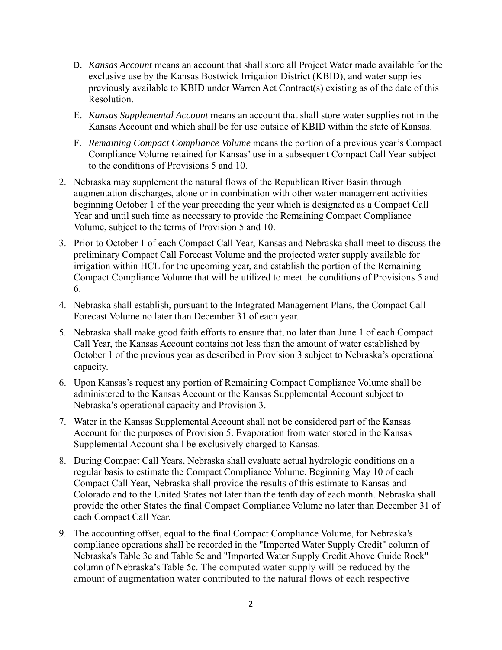- D. *Kansas Account* means an account that shall store all Project Water made available for the exclusive use by the Kansas Bostwick Irrigation District (KBID), and water supplies previously available to KBID under Warren Act Contract(s) existing as of the date of this Resolution.
- E. *Kansas Supplemental Account* means an account that shall store water supplies not in the Kansas Account and which shall be for use outside of KBID within the state of Kansas.
- F. *Remaining Compact Compliance Volume* means the portion of a previous year's Compact Compliance Volume retained for Kansas' use in a subsequent Compact Call Year subject to the conditions of Provisions 5 and 10.
- 2. Nebraska may supplement the natural flows of the Republican River Basin through augmentation discharges, alone or in combination with other water management activities beginning October 1 of the year preceding the year which is designated as a Compact Call Year and until such time as necessary to provide the Remaining Compact Compliance Volume, subject to the terms of Provision 5 and 10.
- 3. Prior to October 1 of each Compact Call Year, Kansas and Nebraska shall meet to discuss the preliminary Compact Call Forecast Volume and the projected water supply available for irrigation within HCL for the upcoming year, and establish the portion of the Remaining Compact Compliance Volume that will be utilized to meet the conditions of Provisions 5 and 6.
- 4. Nebraska shall establish, pursuant to the Integrated Management Plans, the Compact Call Forecast Volume no later than December 31 of each year.
- 5. Nebraska shall make good faith efforts to ensure that, no later than June 1 of each Compact Call Year, the Kansas Account contains not less than the amount of water established by October 1 of the previous year as described in Provision 3 subject to Nebraska's operational capacity.
- 6. Upon Kansas's request any portion of Remaining Compact Compliance Volume shall be administered to the Kansas Account or the Kansas Supplemental Account subject to Nebraska's operational capacity and Provision 3.
- 7. Water in the Kansas Supplemental Account shall not be considered part of the Kansas Account for the purposes of Provision 5. Evaporation from water stored in the Kansas Supplemental Account shall be exclusively charged to Kansas.
- 8. During Compact Call Years, Nebraska shall evaluate actual hydrologic conditions on a regular basis to estimate the Compact Compliance Volume. Beginning May 10 of each Compact Call Year, Nebraska shall provide the results of this estimate to Kansas and Colorado and to the United States not later than the tenth day of each month. Nebraska shall provide the other States the final Compact Compliance Volume no later than December 31 of each Compact Call Year.
- 9. The accounting offset, equal to the final Compact Compliance Volume, for Nebraska's compliance operations shall be recorded in the "Imported Water Supply Credit" column of Nebraska's Table 3c and Table 5e and "Imported Water Supply Credit Above Guide Rock" column of Nebraska's Table 5c. The computed water supply will be reduced by the amount of augmentation water contributed to the natural flows of each respective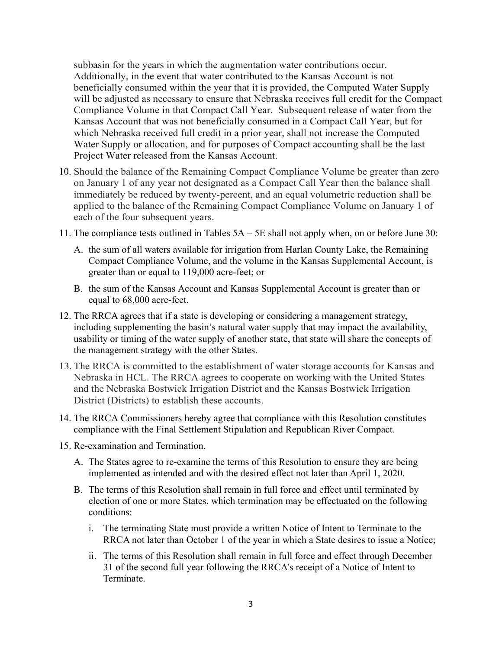subbasin for the years in which the augmentation water contributions occur. Additionally, in the event that water contributed to the Kansas Account is not beneficially consumed within the year that it is provided, the Computed Water Supply will be adjusted as necessary to ensure that Nebraska receives full credit for the Compact Compliance Volume in that Compact Call Year. Subsequent release of water from the Kansas Account that was not beneficially consumed in a Compact Call Year, but for which Nebraska received full credit in a prior year, shall not increase the Computed Water Supply or allocation, and for purposes of Compact accounting shall be the last Project Water released from the Kansas Account.

- 10. Should the balance of the Remaining Compact Compliance Volume be greater than zero on January 1 of any year not designated as a Compact Call Year then the balance shall immediately be reduced by twenty-percent, and an equal volumetric reduction shall be applied to the balance of the Remaining Compact Compliance Volume on January 1 of each of the four subsequent years.
- 11. The compliance tests outlined in Tables 5A 5E shall not apply when, on or before June 30:
	- A. the sum of all waters available for irrigation from Harlan County Lake, the Remaining Compact Compliance Volume, and the volume in the Kansas Supplemental Account, is greater than or equal to 119,000 acre-feet; or
	- B. the sum of the Kansas Account and Kansas Supplemental Account is greater than or equal to 68,000 acre-feet.
- 12. The RRCA agrees that if a state is developing or considering a management strategy, including supplementing the basin's natural water supply that may impact the availability, usability or timing of the water supply of another state, that state will share the concepts of the management strategy with the other States.
- 13. The RRCA is committed to the establishment of water storage accounts for Kansas and Nebraska in HCL. The RRCA agrees to cooperate on working with the United States and the Nebraska Bostwick Irrigation District and the Kansas Bostwick Irrigation District (Districts) to establish these accounts.
- 14. The RRCA Commissioners hereby agree that compliance with this Resolution constitutes compliance with the Final Settlement Stipulation and Republican River Compact.
- 15. Re-examination and Termination.
	- A. The States agree to re-examine the terms of this Resolution to ensure they are being implemented as intended and with the desired effect not later than April 1, 2020.
	- B. The terms of this Resolution shall remain in full force and effect until terminated by election of one or more States, which termination may be effectuated on the following conditions:
		- i. The terminating State must provide a written Notice of Intent to Terminate to the RRCA not later than October 1 of the year in which a State desires to issue a Notice;
		- ii. The terms of this Resolution shall remain in full force and effect through December 31 of the second full year following the RRCA's receipt of a Notice of Intent to Terminate.